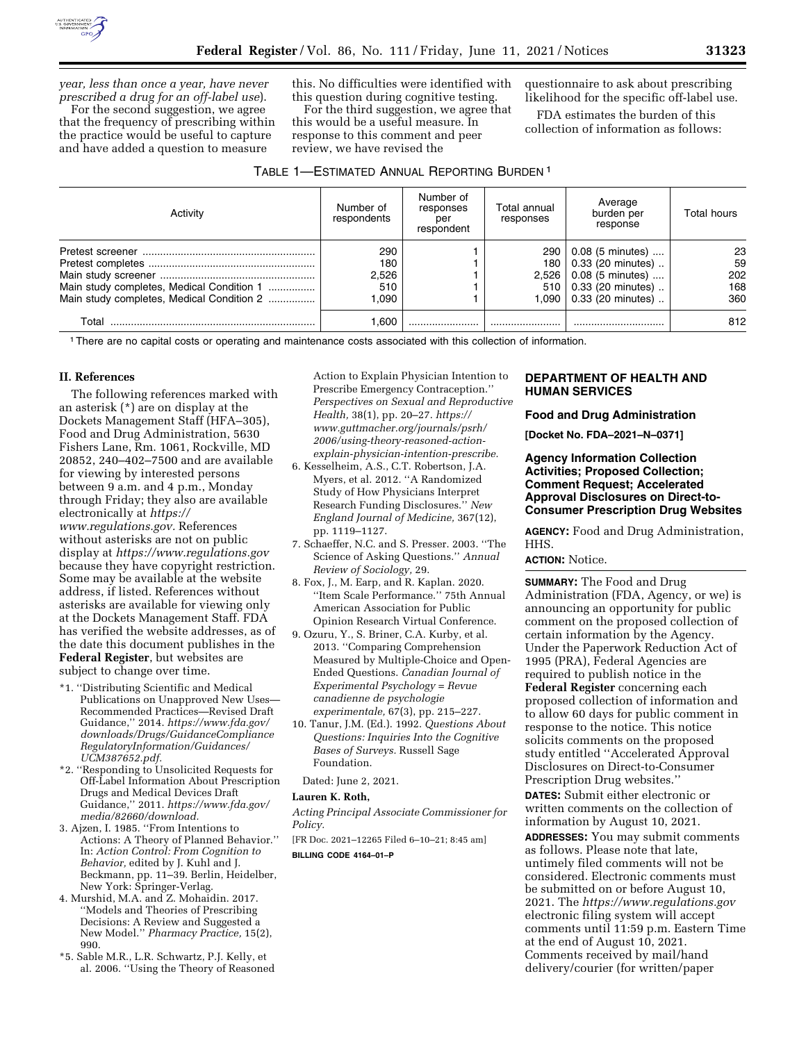

*year, less than once a year, have never prescribed a drug for an off-label use*).

For the second suggestion, we agree that the frequency of prescribing within the practice would be useful to capture and have added a question to measure

this. No difficulties were identified with this question during cognitive testing.

For the third suggestion, we agree that this would be a useful measure. In response to this comment and peer review, we have revised the

### TABLE 1—ESTIMATED ANNUAL REPORTING BURDEN 1

questionnaire to ask about prescribing likelihood for the specific off-label use.

FDA estimates the burden of this collection of information as follows:

| Activity                                  | Number of<br>respondents | Number of<br>responses<br>per<br>respondent | Total annual<br>responses | Average<br>burden per<br>response | Total hours |
|-------------------------------------------|--------------------------|---------------------------------------------|---------------------------|-----------------------------------|-------------|
|                                           | 290                      |                                             | $290 \mid$                | 0.08 (5 minutes)                  | 23          |
|                                           | 180                      |                                             | 180                       | 0.33 (20 minutes)                 | 59          |
|                                           | 2.526                    |                                             | 2,526                     | $0.08$ (5 minutes)                | 202         |
| Main study completes, Medical Condition 1 | 510                      |                                             | 510                       | 0.33 (20 minutes)                 | 168         |
| Main study completes, Medical Condition 2 | .090                     |                                             | 1.090 l                   | 0.33 (20 minutes)                 | 360         |
| Total                                     | 1.600                    |                                             |                           |                                   | 812         |

1There are no capital costs or operating and maintenance costs associated with this collection of information.

#### **II. References**

The following references marked with an asterisk (\*) are on display at the Dockets Management Staff (HFA–305), Food and Drug Administration, 5630 Fishers Lane, Rm. 1061, Rockville, MD 20852, 240–402–7500 and are available for viewing by interested persons between 9 a.m. and 4 p.m., Monday through Friday; they also are available electronically at *[https://](https://www.regulations.gov) [www.regulations.gov.](https://www.regulations.gov)* References without asterisks are not on public display at *<https://www.regulations.gov>*  because they have copyright restriction. Some may be available at the website address, if listed. References without asterisks are available for viewing only at the Dockets Management Staff. FDA has verified the website addresses, as of the date this document publishes in the **Federal Register**, but websites are subject to change over time.

- \*1. ''Distributing Scientific and Medical Publications on Unapproved New Uses— Recommended Practices—Revised Draft Guidance,'' 2014. *[https://www.fda.gov/](https://www.fda.gov/downloads/Drugs/GuidanceComplianceRegulatoryInformation/Guidances/UCM387652.pdf)  [downloads/Drugs/GuidanceCompliance](https://www.fda.gov/downloads/Drugs/GuidanceComplianceRegulatoryInformation/Guidances/UCM387652.pdf) [RegulatoryInformation/Guidances/](https://www.fda.gov/downloads/Drugs/GuidanceComplianceRegulatoryInformation/Guidances/UCM387652.pdf)  [UCM387652.pdf.](https://www.fda.gov/downloads/Drugs/GuidanceComplianceRegulatoryInformation/Guidances/UCM387652.pdf)*
- \*2. ''Responding to Unsolicited Requests for Off-Label Information About Prescription Drugs and Medical Devices Draft Guidance,'' 2011. *[https://www.fda.gov/](https://www.fda.gov/media/82660/download)  [media/82660/download.](https://www.fda.gov/media/82660/download)*
- 3. Ajzen, I. 1985. ''From Intentions to Actions: A Theory of Planned Behavior.'' In: *Action Control: From Cognition to Behavior,* edited by J. Kuhl and J. Beckmann, pp. 11–39. Berlin, Heidelber, New York: Springer-Verlag.
- 4. Murshid, M.A. and Z. Mohaidin. 2017. ''Models and Theories of Prescribing Decisions: A Review and Suggested a New Model.'' *Pharmacy Practice,* 15(2), 990.
- \*5. Sable M.R., L.R. Schwartz, P.J. Kelly, et al. 2006. ''Using the Theory of Reasoned

Action to Explain Physician Intention to Prescribe Emergency Contraception.'' *Perspectives on Sexual and Reproductive Health,* 38(1), pp. 20–27. *[https://](https://www.guttmacher.org/journals/psrh/2006/using-theory-reasoned-action-explain-physician-intention-prescribe) [www.guttmacher.org/journals/psrh/](https://www.guttmacher.org/journals/psrh/2006/using-theory-reasoned-action-explain-physician-intention-prescribe)  [2006/using-theory-reasoned-action](https://www.guttmacher.org/journals/psrh/2006/using-theory-reasoned-action-explain-physician-intention-prescribe)[explain-physician-intention-prescribe.](https://www.guttmacher.org/journals/psrh/2006/using-theory-reasoned-action-explain-physician-intention-prescribe)* 

- 6. Kesselheim, A.S., C.T. Robertson, J.A. Myers, et al. 2012. ''A Randomized Study of How Physicians Interpret Research Funding Disclosures.'' *New England Journal of Medicine,* 367(12), pp. 1119–1127.
- 7. Schaeffer, N.C. and S. Presser. 2003. ''The Science of Asking Questions.'' *Annual Review of Sociology,* 29.
- 8. Fox, J., M. Earp, and R. Kaplan. 2020. ''Item Scale Performance.'' 75th Annual American Association for Public Opinion Research Virtual Conference.
- 9. Ozuru, Y., S. Briner, C.A. Kurby, et al. 2013. ''Comparing Comprehension Measured by Multiple-Choice and Open-Ended Questions. *Canadian Journal of Experimental Psychology = Revue canadienne de psychologie experimentale,* 67(3), pp. 215–227.
- 10. Tanur, J.M. (Ed.). 1992. *Questions About Questions: Inquiries Into the Cognitive Bases of Surveys.* Russell Sage Foundation.
- Dated: June 2, 2021.

#### **Lauren K. Roth,**

*Acting Principal Associate Commissioner for Policy.* 

[FR Doc. 2021–12265 Filed 6–10–21; 8:45 am]

**BILLING CODE 4164–01–P** 

# **DEPARTMENT OF HEALTH AND HUMAN SERVICES**

#### **Food and Drug Administration**

**[Docket No. FDA–2021–N–0371]** 

# **Agency Information Collection Activities; Proposed Collection; Comment Request; Accelerated Approval Disclosures on Direct-to-Consumer Prescription Drug Websites**

**AGENCY:** Food and Drug Administration, HHS.

### **ACTION:** Notice.

**SUMMARY:** The Food and Drug Administration (FDA, Agency, or we) is announcing an opportunity for public comment on the proposed collection of certain information by the Agency. Under the Paperwork Reduction Act of 1995 (PRA), Federal Agencies are required to publish notice in the **Federal Register** concerning each proposed collection of information and to allow 60 days for public comment in response to the notice. This notice solicits comments on the proposed study entitled ''Accelerated Approval Disclosures on Direct-to-Consumer Prescription Drug websites.''

**DATES:** Submit either electronic or written comments on the collection of information by August 10, 2021.

**ADDRESSES:** You may submit comments as follows. Please note that late, untimely filed comments will not be considered. Electronic comments must be submitted on or before August 10, 2021. The *<https://www.regulations.gov>* electronic filing system will accept comments until 11:59 p.m. Eastern Time at the end of August 10, 2021. Comments received by mail/hand delivery/courier (for written/paper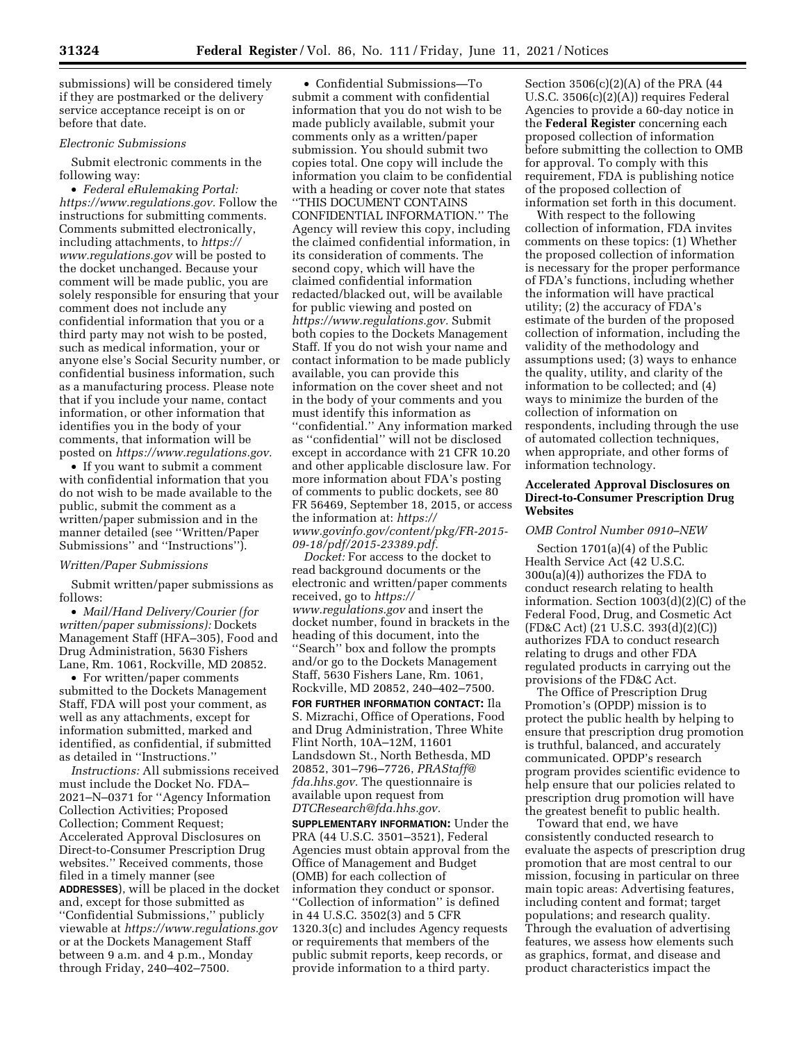submissions) will be considered timely if they are postmarked or the delivery service acceptance receipt is on or before that date.

## *Electronic Submissions*

Submit electronic comments in the following way:

• *Federal eRulemaking Portal: [https://www.regulations.gov.](https://www.regulations.gov)* Follow the instructions for submitting comments. Comments submitted electronically, including attachments, to *[https://](https://www.regulations.gov) [www.regulations.gov](https://www.regulations.gov)* will be posted to the docket unchanged. Because your comment will be made public, you are solely responsible for ensuring that your comment does not include any confidential information that you or a third party may not wish to be posted, such as medical information, your or anyone else's Social Security number, or confidential business information, such as a manufacturing process. Please note that if you include your name, contact information, or other information that identifies you in the body of your comments, that information will be posted on *[https://www.regulations.gov.](https://www.regulations.gov)* 

• If you want to submit a comment with confidential information that you do not wish to be made available to the public, submit the comment as a written/paper submission and in the manner detailed (see ''Written/Paper Submissions'' and ''Instructions'').

#### *Written/Paper Submissions*

Submit written/paper submissions as follows:

• *Mail/Hand Delivery/Courier (for written/paper submissions):* Dockets Management Staff (HFA–305), Food and Drug Administration, 5630 Fishers Lane, Rm. 1061, Rockville, MD 20852.

• For written/paper comments submitted to the Dockets Management Staff, FDA will post your comment, as well as any attachments, except for information submitted, marked and identified, as confidential, if submitted as detailed in ''Instructions.''

*Instructions:* All submissions received must include the Docket No. FDA– 2021–N–0371 for ''Agency Information Collection Activities; Proposed Collection; Comment Request; Accelerated Approval Disclosures on Direct-to-Consumer Prescription Drug websites.'' Received comments, those filed in a timely manner (see **ADDRESSES**), will be placed in the docket and, except for those submitted as ''Confidential Submissions,'' publicly viewable at *<https://www.regulations.gov>* or at the Dockets Management Staff between 9 a.m. and 4 p.m., Monday through Friday, 240–402–7500.

• Confidential Submissions—To submit a comment with confidential information that you do not wish to be made publicly available, submit your comments only as a written/paper submission. You should submit two copies total. One copy will include the information you claim to be confidential with a heading or cover note that states ''THIS DOCUMENT CONTAINS CONFIDENTIAL INFORMATION.'' The Agency will review this copy, including the claimed confidential information, in its consideration of comments. The second copy, which will have the claimed confidential information redacted/blacked out, will be available for public viewing and posted on *[https://www.regulations.gov.](https://www.regulations.gov)* Submit both copies to the Dockets Management Staff. If you do not wish your name and contact information to be made publicly available, you can provide this information on the cover sheet and not in the body of your comments and you must identify this information as ''confidential.'' Any information marked as ''confidential'' will not be disclosed except in accordance with 21 CFR 10.20 and other applicable disclosure law. For more information about FDA's posting of comments to public dockets, see 80 FR 56469, September 18, 2015, or access the information at: *[https://](https://www.govinfo.gov/content/pkg/FR-2015-09-18/pdf/2015-23389.pdf) [www.govinfo.gov/content/pkg/FR-2015-](https://www.govinfo.gov/content/pkg/FR-2015-09-18/pdf/2015-23389.pdf) [09-18/pdf/2015-23389.pdf.](https://www.govinfo.gov/content/pkg/FR-2015-09-18/pdf/2015-23389.pdf)* 

*Docket:* For access to the docket to read background documents or the electronic and written/paper comments received, go to *[https://](https://www.regulations.gov) [www.regulations.gov](https://www.regulations.gov)* and insert the docket number, found in brackets in the heading of this document, into the ''Search'' box and follow the prompts and/or go to the Dockets Management Staff, 5630 Fishers Lane, Rm. 1061, Rockville, MD 20852, 240–402–7500.

**FOR FURTHER INFORMATION CONTACT:** Ila S. Mizrachi, Office of Operations, Food and Drug Administration, Three White Flint North, 10A–12M, 11601 Landsdown St., North Bethesda, MD 20852, 301–796–7726, *[PRAStaff@](mailto:PRAStaff@fda.hhs.gov) [fda.hhs.gov.](mailto:PRAStaff@fda.hhs.gov)* The questionnaire is available upon request from *[DTCResearch@fda.hhs.gov.](mailto:DTCResearch@fda.hhs.gov)* 

**SUPPLEMENTARY INFORMATION:** Under the PRA (44 U.S.C. 3501–3521), Federal Agencies must obtain approval from the Office of Management and Budget (OMB) for each collection of information they conduct or sponsor. ''Collection of information'' is defined in 44 U.S.C. 3502(3) and 5 CFR 1320.3(c) and includes Agency requests or requirements that members of the public submit reports, keep records, or provide information to a third party.

Section 3506(c)(2)(A) of the PRA (44 U.S.C. 3506(c)(2)(A)) requires Federal Agencies to provide a 60-day notice in the **Federal Register** concerning each proposed collection of information before submitting the collection to OMB for approval. To comply with this requirement, FDA is publishing notice of the proposed collection of information set forth in this document.

With respect to the following collection of information, FDA invites comments on these topics: (1) Whether the proposed collection of information is necessary for the proper performance of FDA's functions, including whether the information will have practical utility; (2) the accuracy of FDA's estimate of the burden of the proposed collection of information, including the validity of the methodology and assumptions used; (3) ways to enhance the quality, utility, and clarity of the information to be collected; and (4) ways to minimize the burden of the collection of information on respondents, including through the use of automated collection techniques, when appropriate, and other forms of information technology.

## **Accelerated Approval Disclosures on Direct-to-Consumer Prescription Drug Websites**

### *OMB Control Number 0910–NEW*

Section 1701(a)(4) of the Public Health Service Act (42 U.S.C. 300u(a)(4)) authorizes the FDA to conduct research relating to health information. Section 1003(d)(2)(C) of the Federal Food, Drug, and Cosmetic Act (FD&C Act) (21 U.S.C. 393(d)(2)(C)) authorizes FDA to conduct research relating to drugs and other FDA regulated products in carrying out the provisions of the FD&C Act.

The Office of Prescription Drug Promotion's (OPDP) mission is to protect the public health by helping to ensure that prescription drug promotion is truthful, balanced, and accurately communicated. OPDP's research program provides scientific evidence to help ensure that our policies related to prescription drug promotion will have the greatest benefit to public health.

Toward that end, we have consistently conducted research to evaluate the aspects of prescription drug promotion that are most central to our mission, focusing in particular on three main topic areas: Advertising features, including content and format; target populations; and research quality. Through the evaluation of advertising features, we assess how elements such as graphics, format, and disease and product characteristics impact the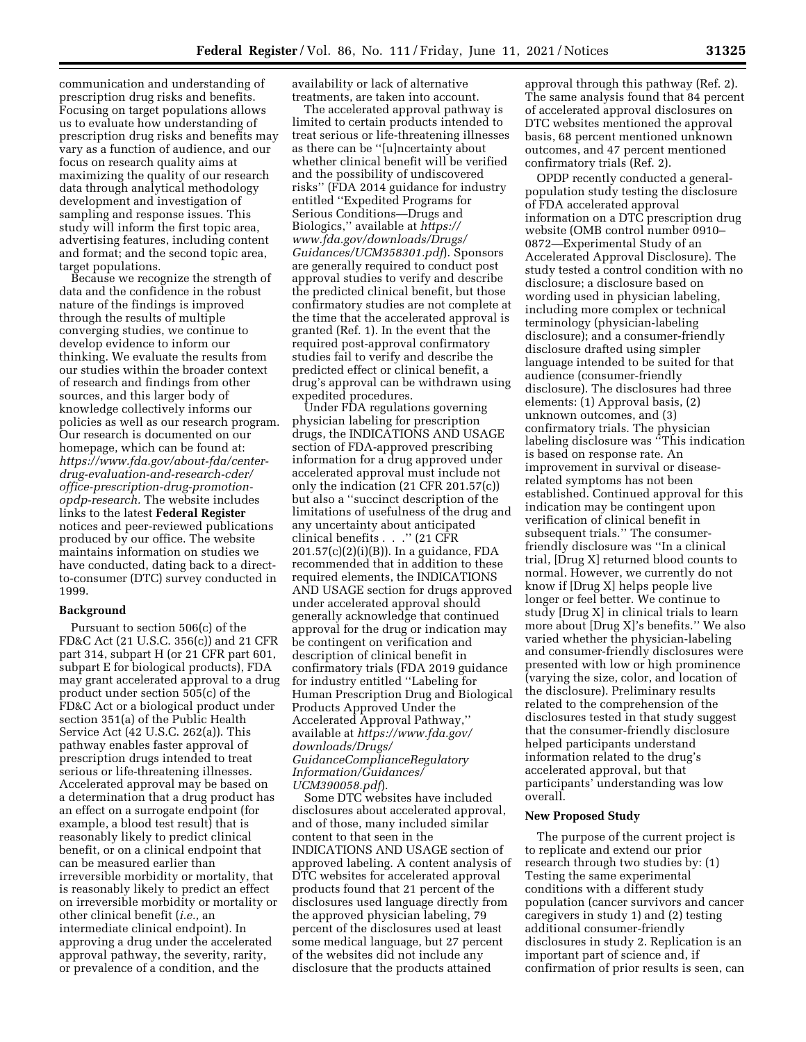communication and understanding of prescription drug risks and benefits. Focusing on target populations allows us to evaluate how understanding of prescription drug risks and benefits may vary as a function of audience, and our focus on research quality aims at maximizing the quality of our research data through analytical methodology development and investigation of sampling and response issues. This study will inform the first topic area, advertising features, including content and format; and the second topic area, target populations.

Because we recognize the strength of data and the confidence in the robust nature of the findings is improved through the results of multiple converging studies, we continue to develop evidence to inform our thinking. We evaluate the results from our studies within the broader context of research and findings from other sources, and this larger body of knowledge collectively informs our policies as well as our research program. Our research is documented on our homepage, which can be found at: *https://www.fda.gov/about-fda/centerdrug-evaluation-and-research-cder/ office-prescription-drug-promotionopdp-research.* The website includes links to the latest **Federal Register**  notices and peer-reviewed publications produced by our office. The website maintains information on studies we have conducted, dating back to a directto-consumer (DTC) survey conducted in 1999.

#### **Background**

Pursuant to section 506(c) of the FD&C Act (21 U.S.C. 356(c)) and 21 CFR part 314, subpart H (or 21 CFR part 601, subpart E for biological products), FDA may grant accelerated approval to a drug product under section 505(c) of the FD&C Act or a biological product under section 351(a) of the Public Health Service Act (42 U.S.C. 262(a)). This pathway enables faster approval of prescription drugs intended to treat serious or life-threatening illnesses. Accelerated approval may be based on a determination that a drug product has an effect on a surrogate endpoint (for example, a blood test result) that is reasonably likely to predict clinical benefit, or on a clinical endpoint that can be measured earlier than irreversible morbidity or mortality, that is reasonably likely to predict an effect on irreversible morbidity or mortality or other clinical benefit (*i.e.,* an intermediate clinical endpoint). In approving a drug under the accelerated approval pathway, the severity, rarity, or prevalence of a condition, and the

availability or lack of alternative treatments, are taken into account.

The accelerated approval pathway is limited to certain products intended to treat serious or life-threatening illnesses as there can be ''[u]ncertainty about whether clinical benefit will be verified and the possibility of undiscovered risks'' (FDA 2014 guidance for industry entitled ''Expedited Programs for Serious Conditions—Drugs and Biologics,'' available at *[https://](https://www.fda.gov/downloads/Drugs/Guidances/UCM358301.pdf) [www.fda.gov/downloads/Drugs/](https://www.fda.gov/downloads/Drugs/Guidances/UCM358301.pdf)  [Guidances/UCM358301.pdf](https://www.fda.gov/downloads/Drugs/Guidances/UCM358301.pdf)*). Sponsors are generally required to conduct post approval studies to verify and describe the predicted clinical benefit, but those confirmatory studies are not complete at the time that the accelerated approval is granted (Ref. 1). In the event that the required post-approval confirmatory studies fail to verify and describe the predicted effect or clinical benefit, a drug's approval can be withdrawn using expedited procedures.

Under FDA regulations governing physician labeling for prescription drugs, the INDICATIONS AND USAGE section of FDA-approved prescribing information for a drug approved under accelerated approval must include not only the indication (21 CFR 201.57(c)) but also a ''succinct description of the limitations of usefulness of the drug and any uncertainty about anticipated clinical benefits . . .'' (21 CFR  $201.57(c)(2)(i)(B)$ . In a guidance, FDA recommended that in addition to these required elements, the INDICATIONS AND USAGE section for drugs approved under accelerated approval should generally acknowledge that continued approval for the drug or indication may be contingent on verification and description of clinical benefit in confirmatory trials (FDA 2019 guidance for industry entitled ''Labeling for Human Prescription Drug and Biological Products Approved Under the Accelerated Approval Pathway,'' available at *[https://www.fda.gov/](https://www.fda.gov/downloads/Drugs/GuidanceComplianceRegulatoryInformation/Guidances/UCM390058.pdf) [downloads/Drugs/](https://www.fda.gov/downloads/Drugs/GuidanceComplianceRegulatoryInformation/Guidances/UCM390058.pdf) [GuidanceComplianceRegulatory](https://www.fda.gov/downloads/Drugs/GuidanceComplianceRegulatoryInformation/Guidances/UCM390058.pdf) [Information/Guidances/](https://www.fda.gov/downloads/Drugs/GuidanceComplianceRegulatoryInformation/Guidances/UCM390058.pdf) [UCM390058.pdf](https://www.fda.gov/downloads/Drugs/GuidanceComplianceRegulatoryInformation/Guidances/UCM390058.pdf)*).

Some DTC websites have included disclosures about accelerated approval, and of those, many included similar content to that seen in the INDICATIONS AND USAGE section of approved labeling. A content analysis of DTC websites for accelerated approval products found that 21 percent of the disclosures used language directly from the approved physician labeling, 79 percent of the disclosures used at least some medical language, but 27 percent of the websites did not include any disclosure that the products attained

approval through this pathway (Ref. 2). The same analysis found that 84 percent of accelerated approval disclosures on DTC websites mentioned the approval basis, 68 percent mentioned unknown outcomes, and 47 percent mentioned confirmatory trials (Ref. 2).

OPDP recently conducted a generalpopulation study testing the disclosure of FDA accelerated approval information on a DTC prescription drug website (OMB control number 0910– 0872—Experimental Study of an Accelerated Approval Disclosure). The study tested a control condition with no disclosure; a disclosure based on wording used in physician labeling, including more complex or technical terminology (physician-labeling disclosure); and a consumer-friendly disclosure drafted using simpler language intended to be suited for that audience (consumer-friendly disclosure). The disclosures had three elements: (1) Approval basis, (2) unknown outcomes, and (3) confirmatory trials. The physician labeling disclosure was "This indication is based on response rate. An improvement in survival or diseaserelated symptoms has not been established. Continued approval for this indication may be contingent upon verification of clinical benefit in subsequent trials.'' The consumerfriendly disclosure was ''In a clinical trial, [Drug X] returned blood counts to normal. However, we currently do not know if [Drug X] helps people live longer or feel better. We continue to study [Drug X] in clinical trials to learn more about [Drug X]'s benefits.'' We also varied whether the physician-labeling and consumer-friendly disclosures were presented with low or high prominence (varying the size, color, and location of the disclosure). Preliminary results related to the comprehension of the disclosures tested in that study suggest that the consumer-friendly disclosure helped participants understand information related to the drug's accelerated approval, but that participants' understanding was low overall.

# **New Proposed Study**

The purpose of the current project is to replicate and extend our prior research through two studies by: (1) Testing the same experimental conditions with a different study population (cancer survivors and cancer caregivers in study 1) and (2) testing additional consumer-friendly disclosures in study 2. Replication is an important part of science and, if confirmation of prior results is seen, can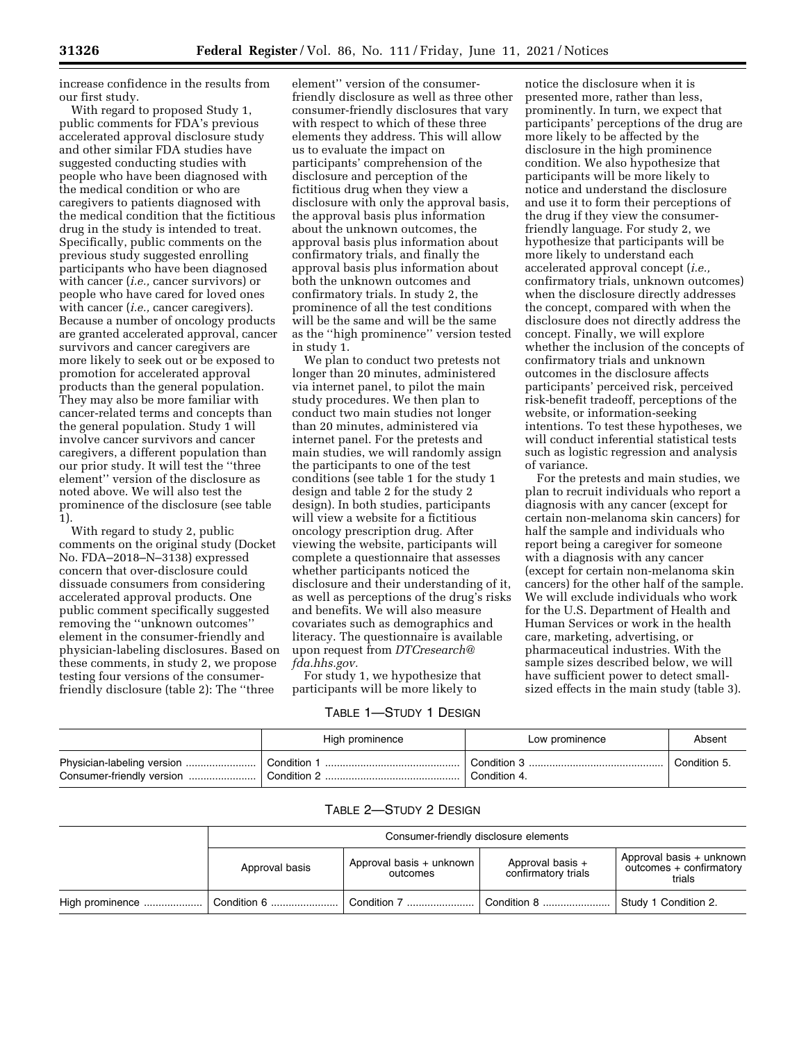increase confidence in the results from our first study.

With regard to proposed Study 1, public comments for FDA's previous accelerated approval disclosure study and other similar FDA studies have suggested conducting studies with people who have been diagnosed with the medical condition or who are caregivers to patients diagnosed with the medical condition that the fictitious drug in the study is intended to treat. Specifically, public comments on the previous study suggested enrolling participants who have been diagnosed with cancer (*i.e.,* cancer survivors) or people who have cared for loved ones with cancer (*i.e.,* cancer caregivers). Because a number of oncology products are granted accelerated approval, cancer survivors and cancer caregivers are more likely to seek out or be exposed to promotion for accelerated approval products than the general population. They may also be more familiar with cancer-related terms and concepts than the general population. Study 1 will involve cancer survivors and cancer caregivers, a different population than our prior study. It will test the "three element'' version of the disclosure as noted above. We will also test the prominence of the disclosure (see table 1).

With regard to study 2, public comments on the original study (Docket No. FDA–2018–N–3138) expressed concern that over-disclosure could dissuade consumers from considering accelerated approval products. One public comment specifically suggested removing the ''unknown outcomes'' element in the consumer-friendly and physician-labeling disclosures. Based on these comments, in study 2, we propose testing four versions of the consumerfriendly disclosure (table 2): The ''three

element'' version of the consumerfriendly disclosure as well as three other consumer-friendly disclosures that vary with respect to which of these three elements they address. This will allow us to evaluate the impact on participants' comprehension of the disclosure and perception of the fictitious drug when they view a disclosure with only the approval basis, the approval basis plus information about the unknown outcomes, the approval basis plus information about confirmatory trials, and finally the approval basis plus information about both the unknown outcomes and confirmatory trials. In study 2, the prominence of all the test conditions will be the same and will be the same as the ''high prominence'' version tested in study 1.

We plan to conduct two pretests not longer than 20 minutes, administered via internet panel, to pilot the main study procedures. We then plan to conduct two main studies not longer than 20 minutes, administered via internet panel. For the pretests and main studies, we will randomly assign the participants to one of the test conditions (see table 1 for the study 1 design and table 2 for the study 2 design). In both studies, participants will view a website for a fictitious oncology prescription drug. After viewing the website, participants will complete a questionnaire that assesses whether participants noticed the disclosure and their understanding of it, as well as perceptions of the drug's risks and benefits. We will also measure covariates such as demographics and literacy. The questionnaire is available upon request from *[DTCresearch@](mailto:DTCresearch@fda.hhs.gov) [fda.hhs.gov.](mailto:DTCresearch@fda.hhs.gov)* 

For study 1, we hypothesize that participants will be more likely to

## TABLE 1—STUDY 1 DESIGN

notice the disclosure when it is presented more, rather than less, prominently. In turn, we expect that participants' perceptions of the drug are more likely to be affected by the disclosure in the high prominence condition. We also hypothesize that participants will be more likely to notice and understand the disclosure and use it to form their perceptions of the drug if they view the consumerfriendly language. For study 2, we hypothesize that participants will be more likely to understand each accelerated approval concept (*i.e.,*  confirmatory trials, unknown outcomes) when the disclosure directly addresses the concept, compared with when the disclosure does not directly address the concept. Finally, we will explore whether the inclusion of the concepts of confirmatory trials and unknown outcomes in the disclosure affects participants' perceived risk, perceived risk-benefit tradeoff, perceptions of the website, or information-seeking intentions. To test these hypotheses, we will conduct inferential statistical tests such as logistic regression and analysis of variance.

For the pretests and main studies, we plan to recruit individuals who report a diagnosis with any cancer (except for certain non-melanoma skin cancers) for half the sample and individuals who report being a caregiver for someone with a diagnosis with any cancer (except for certain non-melanoma skin cancers) for the other half of the sample. We will exclude individuals who work for the U.S. Department of Health and Human Services or work in the health care, marketing, advertising, or pharmaceutical industries. With the sample sizes described below, we will have sufficient power to detect smallsized effects in the main study (table 3).

|                           | High prominence          | Low prominence | Absent       |
|---------------------------|--------------------------|----------------|--------------|
|                           | <sup>1</sup> Condition 1 | Condition 3    | Condition 5. |
| Consumer-friendly version | Condition 2              | Condition 4.   |              |

# TABLE 2—STUDY 2 DESIGN

| Consumer-friendly disclosure elements |                                      |                                         |                                                               |  |
|---------------------------------------|--------------------------------------|-----------------------------------------|---------------------------------------------------------------|--|
| Approval basis                        | Approval basis + unknown<br>outcomes | Approval basis +<br>confirmatory trials | Approval basis + unknown<br>outcomes + confirmatory<br>trials |  |
| Condition 6    Condition 7            |                                      |                                         | Study 1 Condition 2.                                          |  |